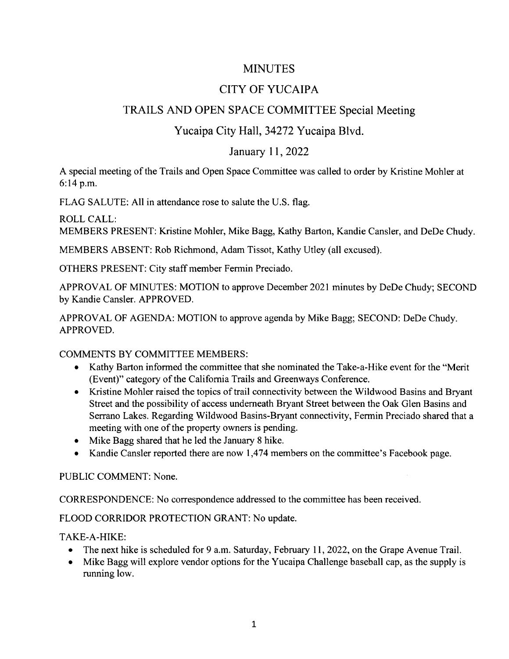## MINUTES

# CITY OF YUCAIPA

# TRAILS AND OPEN SPACE COMMITTEE Special Meeting

### Yucaipa City Hall, 34272 Yucaipa Blvd.

#### January 11, 2022

A special meeting ofthe Trails and Open Space Committee was called to order by Kristine Mohler at 6: 14 p.m.

FLAG SALUTE: All in attendance rose to salute the U.S. flag.

#### ROLL CALL:

MEMBERS PRESENT: Kristine Mohler, Mike Bagg, Kathy Barton, Kandie Cansler, and DeDe Chudy.

MEMBERS ABSENT: Rob Richmond, Adam Tissot, Kathy Utley (all excused).

OTHERS PRESENT: City staff member Fermin Preciado.

APPROVAL OF MINUTES: MOTION to approve December 2021 minutes by DeDe Chudy; SECOND by Kandie Cansler. APPROVED.

APPROVAL OF AGENDA: MOTION to approve agenda by Mike Bagg; SECOND: DeDe Chudy. APPROVED.

COMMENTS BY COMMITTEE MEMBERS:

- Kathy Barton informed the committee that she nominated the Take -a -Hike event for the " Merit  $\bullet$ (Event)" category of the California Trails and Greenways Conference.
- Kristine Mohler raised the topics of trail connectivity between the Wildwood Basins and Bryant Street and the possibility of access underneath Bryant Street between the Oak Glen Basins and Serrano Lakes. Regarding Wildwood Basins-Bryant connectivity, Fermin Preciado shared that a meeting with one of the property owners is pending.
- Mike Bagg shared that he led the January 8 hike.
- Kandie Cansler reported there are now 1,474 members on the committee's Facebook page.

PUBLIC COMMENT: None.

CORRESPONDENCE: No correspondence addressed to the committee has been received.

FLOOD CORRIDOR PROTECTION GRANT: No update.

TAKE-A-HIKE:

- The next hike is scheduled for 9 a.m. Saturday, February 11, 2022, on the Grape Avenue Trail.
- Mike Bagg will explore vendor options for the Yucaipa Challenge baseball cap, as the supply is running low.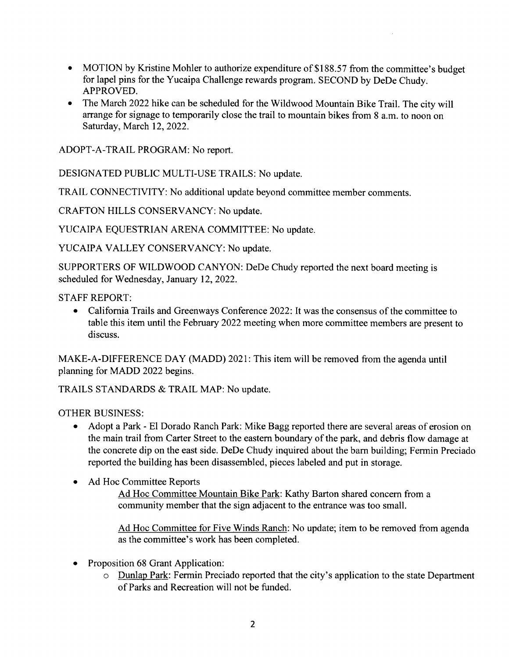- MOTION by Kristine Mohler to authorize expenditure of \$188.57 from the committee's budget  $\bullet$ for lapel pins for the Yucaipa Challenge rewards program. SECOND by DeDe Chudy. APPROVED.
- The March 2022 hike can be scheduled for the Wildwood Mountain Bike Trail. The city will  $\bullet$ arrange for signage to temporarily close the trail to mountain bikes from <sup>8</sup> a.m. to noon on Saturday, March 12, 2022.

ADOPT -A -TRAIL PROGRAM: No report.

DESIGNATED PUBLIC MULTI-USE TRAILS: No update.

TRAIL CONNECTIVITY: No additional update beyond committee member comments.

CRAFTON HILLS CONSERVANCY: No update.

YUCAIPA EQUESTRIAN ARENA COMMITTEE: No update.

YUCAIPA VALLEY CONSERVANCY: No update.

SUPPORTERS OF WILDWOOD CANYON: DeDe Chudy reported the next board meeting is scheduled for Wednesday, January 12, 2022.

STAFF REPORT:

• California Trails and Greenways Conference 2022: It was the consensus of the committee to table this item until the February 2022 meeting when more committee members are present to discuss.

MAKE-A-DIFFERENCE DAY (MADD) 2021: This item will be removed from the agenda until planning for MADD 2022 begins.

TRAILS STANDARDS & TRAIL MAP: No update.

OTHER BUSINESS:

- Adopt <sup>a</sup> Park El Dorado Ranch Park: Mike Bagg reported there are several areas of erosion on the main trail from Carter Street to the eastern boundary of the park, and debris flow damage at the concrete dip on the east side. DeDe Chudy inquired about the barn building; Fermin Preciado reported the building has been disassembled, pieces labeled and put in storage.
- Ad Hoc Committee Reports  $\bullet$

Ad Hoc Committee Mountain Bike Park: Kathy Barton shared concern from a community member that the sign adjacent to the entrance was too small.

Ad Hoc Committee for Five Winds Ranch: No update; item to be removed from agenda as the committee's work has been completed.

- Proposition 68 Grant Application:
	- o Dunlap Park: Fermin Preciado reported that the city' <sup>s</sup> application to the state Department of Parks and Recreation will not be funded.